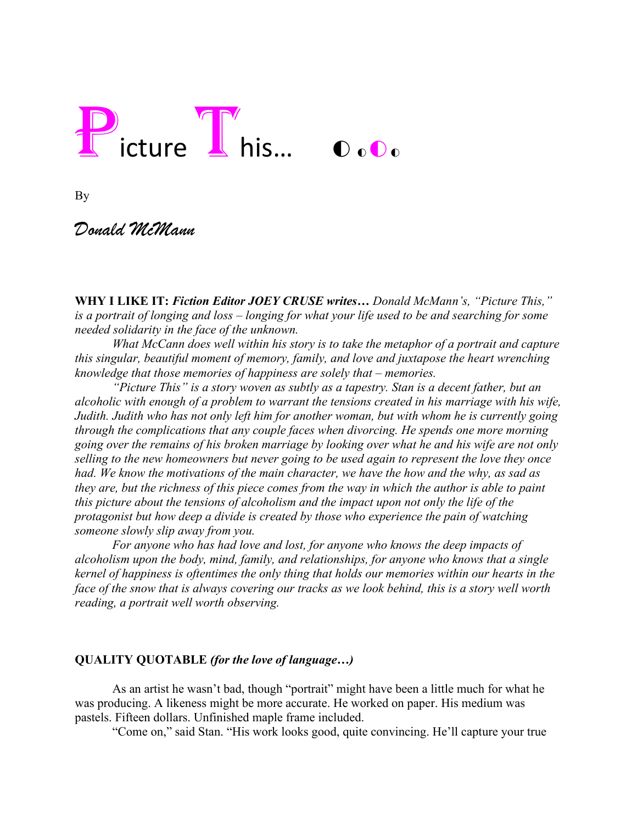# Picture This... OoOo

By

# *Donald McMann*

**WHY I LIKE IT:** *Fiction Editor JOEY CRUSE writes… Donald McMann's, "Picture This," is a portrait of longing and loss – longing for what your life used to be and searching for some needed solidarity in the face of the unknown.*

*What McCann does well within his story is to take the metaphor of a portrait and capture this singular, beautiful moment of memory, family, and love and juxtapose the heart wrenching knowledge that those memories of happiness are solely that – memories.* 

*"Picture This" is a story woven as subtly as a tapestry. Stan is a decent father, but an alcoholic with enough of a problem to warrant the tensions created in his marriage with his wife, Judith. Judith who has not only left him for another woman, but with whom he is currently going through the complications that any couple faces when divorcing. He spends one more morning going over the remains of his broken marriage by looking over what he and his wife are not only selling to the new homeowners but never going to be used again to represent the love they once had. We know the motivations of the main character, we have the how and the why, as sad as they are, but the richness of this piece comes from the way in which the author is able to paint this picture about the tensions of alcoholism and the impact upon not only the life of the protagonist but how deep a divide is created by those who experience the pain of watching someone slowly slip away from you.* 

*For anyone who has had love and lost, for anyone who knows the deep impacts of alcoholism upon the body, mind, family, and relationships, for anyone who knows that a single kernel of happiness is oftentimes the only thing that holds our memories within our hearts in the face of the snow that is always covering our tracks as we look behind, this is a story well worth reading, a portrait well worth observing.* 

# **QUALITY QUOTABLE** *(for the love of language…)*

As an artist he wasn't bad, though "portrait" might have been a little much for what he was producing. A likeness might be more accurate. He worked on paper. His medium was pastels. Fifteen dollars. Unfinished maple frame included.

"Come on," said Stan. "His work looks good, quite convincing. He'll capture your true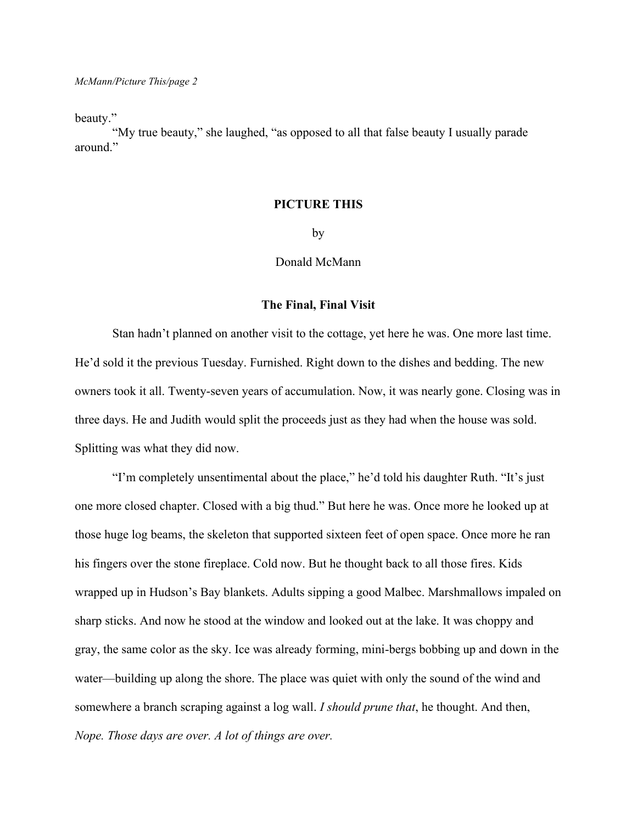beauty."

"My true beauty," she laughed, "as opposed to all that false beauty I usually parade around."

#### **PICTURE THIS**

by

### Donald McMann

#### **The Final, Final Visit**

Stan hadn't planned on another visit to the cottage, yet here he was. One more last time. He'd sold it the previous Tuesday. Furnished. Right down to the dishes and bedding. The new owners took it all. Twenty-seven years of accumulation. Now, it was nearly gone. Closing was in three days. He and Judith would split the proceeds just as they had when the house was sold. Splitting was what they did now.

"I'm completely unsentimental about the place," he'd told his daughter Ruth. "It's just one more closed chapter. Closed with a big thud." But here he was. Once more he looked up at those huge log beams, the skeleton that supported sixteen feet of open space. Once more he ran his fingers over the stone fireplace. Cold now. But he thought back to all those fires. Kids wrapped up in Hudson's Bay blankets. Adults sipping a good Malbec. Marshmallows impaled on sharp sticks. And now he stood at the window and looked out at the lake. It was choppy and gray, the same color as the sky. Ice was already forming, mini-bergs bobbing up and down in the water—building up along the shore. The place was quiet with only the sound of the wind and somewhere a branch scraping against a log wall. *I should prune that*, he thought. And then, *Nope. Those days are over. A lot of things are over.*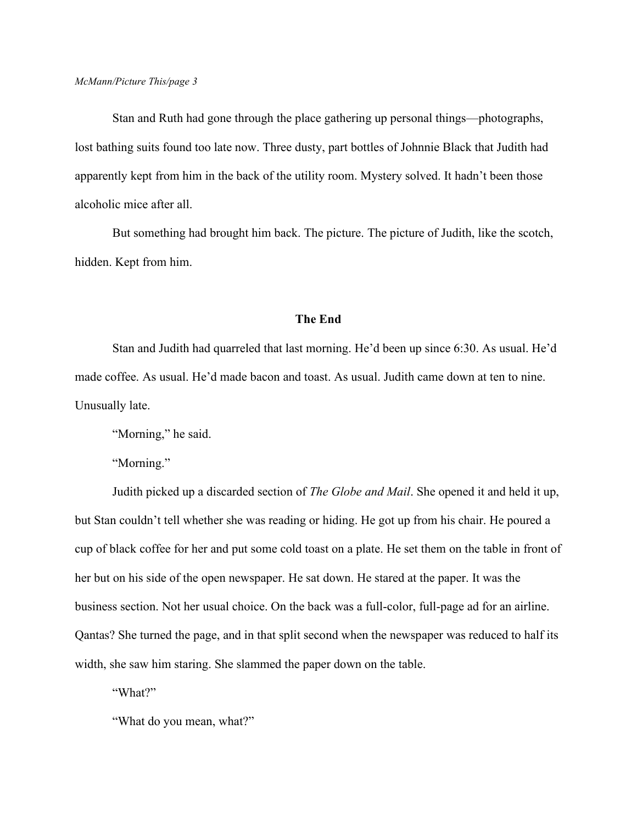Stan and Ruth had gone through the place gathering up personal things—photographs, lost bathing suits found too late now. Three dusty, part bottles of Johnnie Black that Judith had apparently kept from him in the back of the utility room. Mystery solved. It hadn't been those alcoholic mice after all.

But something had brought him back. The picture. The picture of Judith, like the scotch, hidden. Kept from him.

### **The End**

Stan and Judith had quarreled that last morning. He'd been up since 6:30. As usual. He'd made coffee. As usual. He'd made bacon and toast. As usual. Judith came down at ten to nine. Unusually late.

"Morning," he said.

"Morning."

Judith picked up a discarded section of *The Globe and Mail*. She opened it and held it up, but Stan couldn't tell whether she was reading or hiding. He got up from his chair. He poured a cup of black coffee for her and put some cold toast on a plate. He set them on the table in front of her but on his side of the open newspaper. He sat down. He stared at the paper. It was the business section. Not her usual choice. On the back was a full-color, full-page ad for an airline. Qantas? She turned the page, and in that split second when the newspaper was reduced to half its width, she saw him staring. She slammed the paper down on the table.

"What?"

"What do you mean, what?"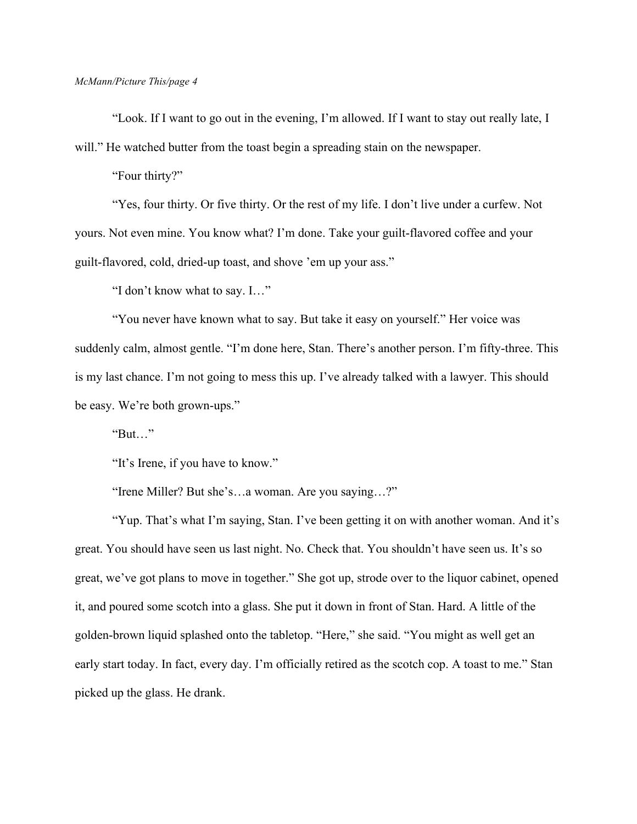"Look. If I want to go out in the evening, I'm allowed. If I want to stay out really late, I will." He watched butter from the toast begin a spreading stain on the newspaper.

"Four thirty?"

"Yes, four thirty. Or five thirty. Or the rest of my life. I don't live under a curfew. Not yours. Not even mine. You know what? I'm done. Take your guilt-flavored coffee and your guilt-flavored, cold, dried-up toast, and shove 'em up your ass."

"I don't know what to say. I…"

"You never have known what to say. But take it easy on yourself." Her voice was suddenly calm, almost gentle. "I'm done here, Stan. There's another person. I'm fifty-three. This is my last chance. I'm not going to mess this up. I've already talked with a lawyer. This should be easy. We're both grown-ups."

"But…"

"It's Irene, if you have to know."

"Irene Miller? But she's…a woman. Are you saying…?"

"Yup. That's what I'm saying, Stan. I've been getting it on with another woman. And it's great. You should have seen us last night. No. Check that. You shouldn't have seen us. It's so great, we've got plans to move in together." She got up, strode over to the liquor cabinet, opened it, and poured some scotch into a glass. She put it down in front of Stan. Hard. A little of the golden-brown liquid splashed onto the tabletop. "Here," she said. "You might as well get an early start today. In fact, every day. I'm officially retired as the scotch cop. A toast to me." Stan picked up the glass. He drank.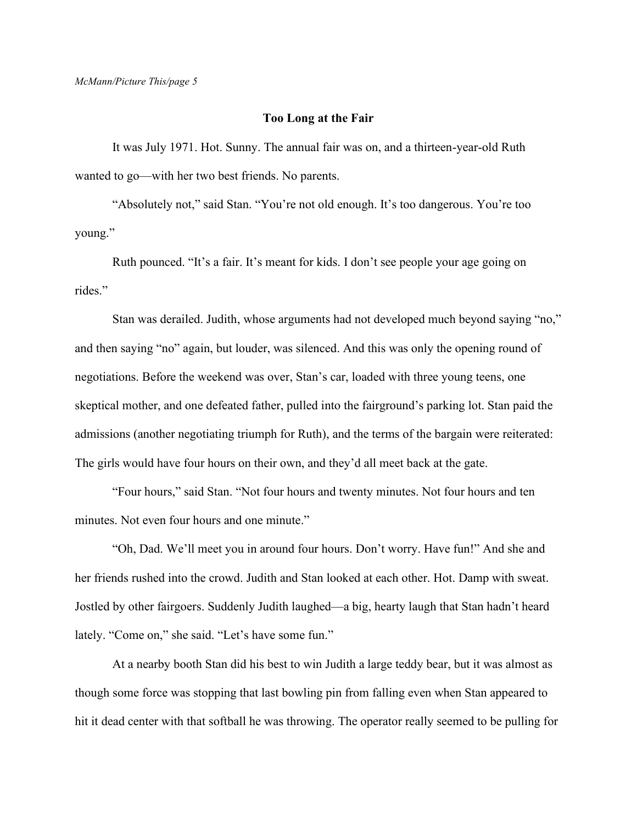#### **Too Long at the Fair**

It was July 1971. Hot. Sunny. The annual fair was on, and a thirteen-year-old Ruth wanted to go—with her two best friends. No parents.

"Absolutely not," said Stan. "You're not old enough. It's too dangerous. You're too young."

Ruth pounced. "It's a fair. It's meant for kids. I don't see people your age going on rides."

Stan was derailed. Judith, whose arguments had not developed much beyond saying "no," and then saying "no" again, but louder, was silenced. And this was only the opening round of negotiations. Before the weekend was over, Stan's car, loaded with three young teens, one skeptical mother, and one defeated father, pulled into the fairground's parking lot. Stan paid the admissions (another negotiating triumph for Ruth), and the terms of the bargain were reiterated: The girls would have four hours on their own, and they'd all meet back at the gate.

"Four hours," said Stan. "Not four hours and twenty minutes. Not four hours and ten minutes. Not even four hours and one minute."

"Oh, Dad. We'll meet you in around four hours. Don't worry. Have fun!" And she and her friends rushed into the crowd. Judith and Stan looked at each other. Hot. Damp with sweat. Jostled by other fairgoers. Suddenly Judith laughed—a big, hearty laugh that Stan hadn't heard lately. "Come on," she said. "Let's have some fun."

At a nearby booth Stan did his best to win Judith a large teddy bear, but it was almost as though some force was stopping that last bowling pin from falling even when Stan appeared to hit it dead center with that softball he was throwing. The operator really seemed to be pulling for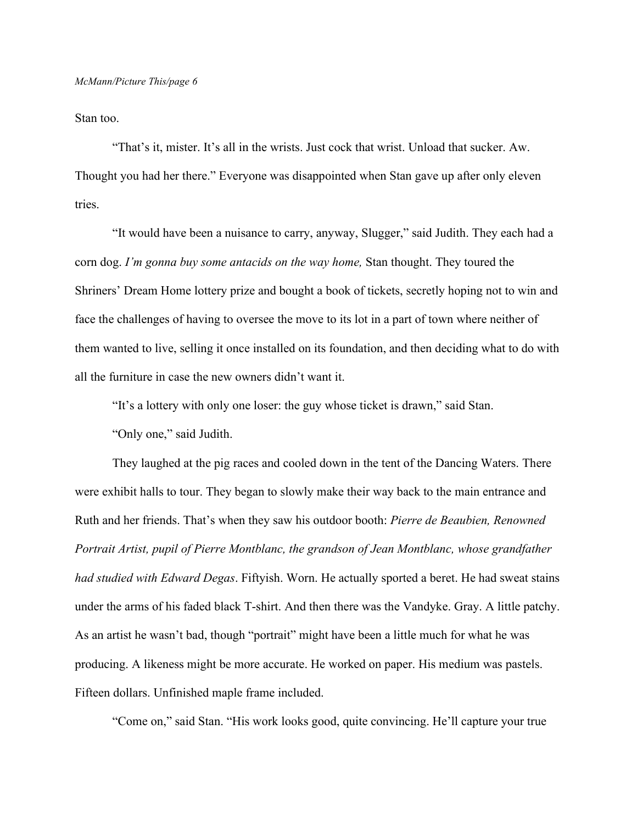Stan too.

"That's it, mister. It's all in the wrists. Just cock that wrist. Unload that sucker. Aw. Thought you had her there." Everyone was disappointed when Stan gave up after only eleven tries.

"It would have been a nuisance to carry, anyway, Slugger," said Judith. They each had a corn dog. *I'm gonna buy some antacids on the way home,* Stan thought. They toured the Shriners' Dream Home lottery prize and bought a book of tickets, secretly hoping not to win and face the challenges of having to oversee the move to its lot in a part of town where neither of them wanted to live, selling it once installed on its foundation, and then deciding what to do with all the furniture in case the new owners didn't want it.

"It's a lottery with only one loser: the guy whose ticket is drawn," said Stan.

"Only one," said Judith.

They laughed at the pig races and cooled down in the tent of the Dancing Waters. There were exhibit halls to tour. They began to slowly make their way back to the main entrance and Ruth and her friends. That's when they saw his outdoor booth: *Pierre de Beaubien, Renowned Portrait Artist, pupil of Pierre Montblanc, the grandson of Jean Montblanc, whose grandfather had studied with Edward Degas*. Fiftyish. Worn. He actually sported a beret. He had sweat stains under the arms of his faded black T-shirt. And then there was the Vandyke. Gray. A little patchy. As an artist he wasn't bad, though "portrait" might have been a little much for what he was producing. A likeness might be more accurate. He worked on paper. His medium was pastels. Fifteen dollars. Unfinished maple frame included.

"Come on," said Stan. "His work looks good, quite convincing. He'll capture your true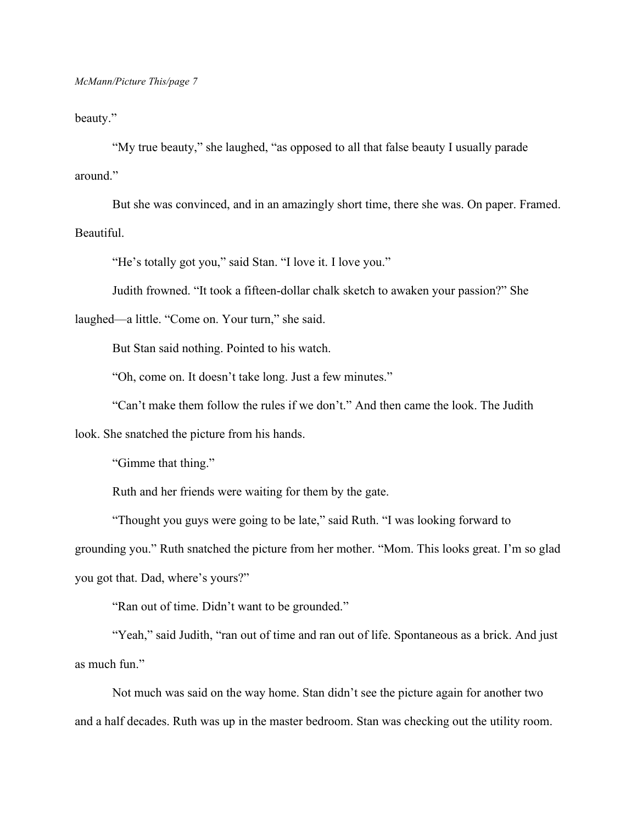beauty."

"My true beauty," she laughed, "as opposed to all that false beauty I usually parade around."

But she was convinced, and in an amazingly short time, there she was. On paper. Framed. Beautiful.

"He's totally got you," said Stan. "I love it. I love you."

Judith frowned. "It took a fifteen-dollar chalk sketch to awaken your passion?" She

laughed—a little. "Come on. Your turn," she said.

But Stan said nothing. Pointed to his watch.

"Oh, come on. It doesn't take long. Just a few minutes."

"Can't make them follow the rules if we don't." And then came the look. The Judith

look. She snatched the picture from his hands.

"Gimme that thing."

Ruth and her friends were waiting for them by the gate.

"Thought you guys were going to be late," said Ruth. "I was looking forward to grounding you." Ruth snatched the picture from her mother. "Mom. This looks great. I'm so glad you got that. Dad, where's yours?"

"Ran out of time. Didn't want to be grounded."

"Yeah," said Judith, "ran out of time and ran out of life. Spontaneous as a brick. And just as much fun."

Not much was said on the way home. Stan didn't see the picture again for another two and a half decades. Ruth was up in the master bedroom. Stan was checking out the utility room.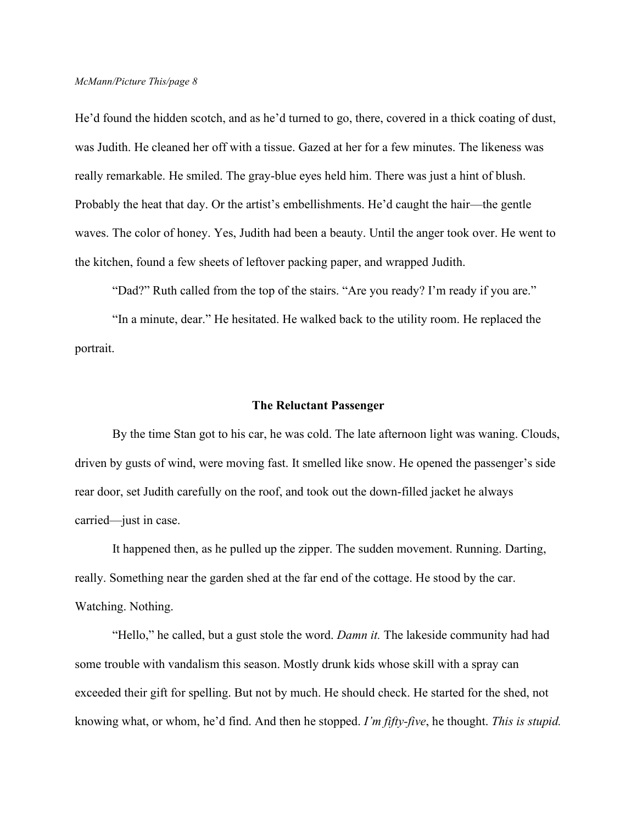He'd found the hidden scotch, and as he'd turned to go, there, covered in a thick coating of dust, was Judith. He cleaned her off with a tissue. Gazed at her for a few minutes. The likeness was really remarkable. He smiled. The gray-blue eyes held him. There was just a hint of blush. Probably the heat that day. Or the artist's embellishments. He'd caught the hair—the gentle waves. The color of honey. Yes, Judith had been a beauty. Until the anger took over. He went to the kitchen, found a few sheets of leftover packing paper, and wrapped Judith.

"Dad?" Ruth called from the top of the stairs. "Are you ready? I'm ready if you are."

"In a minute, dear." He hesitated. He walked back to the utility room. He replaced the portrait.

### **The Reluctant Passenger**

By the time Stan got to his car, he was cold. The late afternoon light was waning. Clouds, driven by gusts of wind, were moving fast. It smelled like snow. He opened the passenger's side rear door, set Judith carefully on the roof, and took out the down-filled jacket he always carried—just in case.

It happened then, as he pulled up the zipper. The sudden movement. Running. Darting, really. Something near the garden shed at the far end of the cottage. He stood by the car. Watching. Nothing.

"Hello," he called, but a gust stole the word. *Damn it.* The lakeside community had had some trouble with vandalism this season. Mostly drunk kids whose skill with a spray can exceeded their gift for spelling. But not by much. He should check. He started for the shed, not knowing what, or whom, he'd find. And then he stopped. *I'm fifty-five*, he thought. *This is stupid.*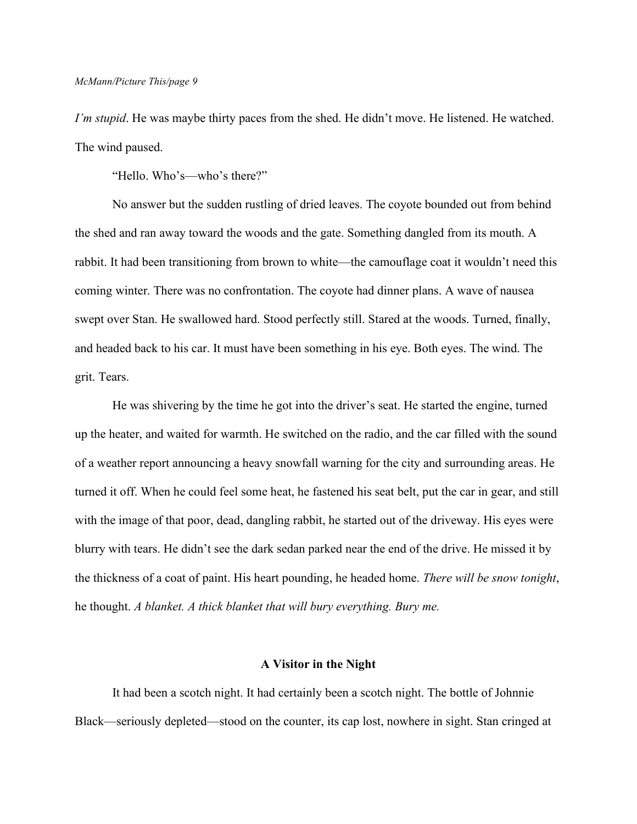*I'm stupid*. He was maybe thirty paces from the shed. He didn't move. He listened. He watched. The wind paused.

"Hello. Who's—who's there?"

No answer but the sudden rustling of dried leaves. The coyote bounded out from behind the shed and ran away toward the woods and the gate. Something dangled from its mouth. A rabbit. It had been transitioning from brown to white—the camouflage coat it wouldn't need this coming winter. There was no confrontation. The coyote had dinner plans. A wave of nausea swept over Stan. He swallowed hard. Stood perfectly still. Stared at the woods. Turned, finally, and headed back to his car. It must have been something in his eye. Both eyes. The wind. The grit. Tears.

He was shivering by the time he got into the driver's seat. He started the engine, turned up the heater, and waited for warmth. He switched on the radio, and the car filled with the sound of a weather report announcing a heavy snowfall warning for the city and surrounding areas. He turned it off. When he could feel some heat, he fastened his seat belt, put the car in gear, and still with the image of that poor, dead, dangling rabbit, he started out of the driveway. His eyes were blurry with tears. He didn't see the dark sedan parked near the end of the drive. He missed it by the thickness of a coat of paint. His heart pounding, he headed home. *There will be snow tonight*, he thought. *A blanket. A thick blanket that will bury everything. Bury me.* 

#### **A Visitor in the Night**

It had been a scotch night. It had certainly been a scotch night. The bottle of Johnnie Black—seriously depleted—stood on the counter, its cap lost, nowhere in sight. Stan cringed at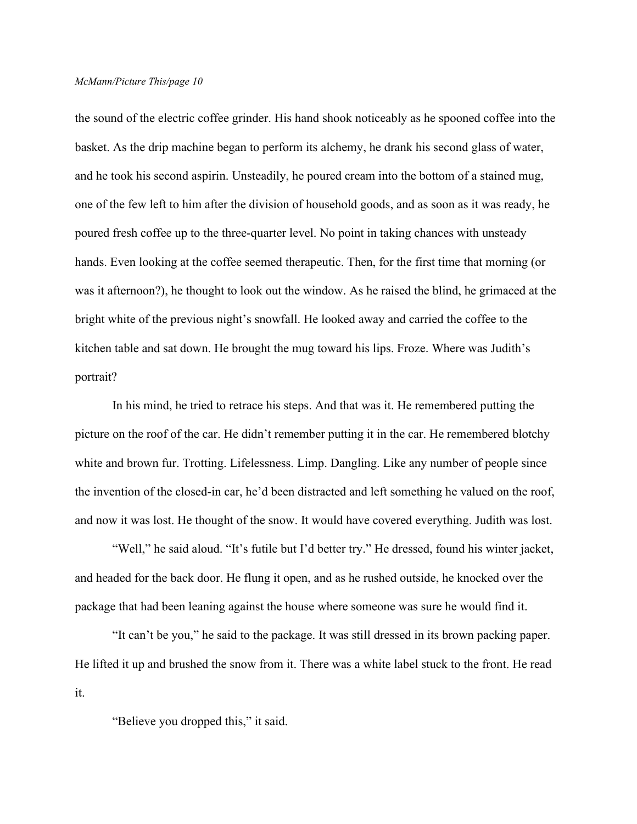the sound of the electric coffee grinder. His hand shook noticeably as he spooned coffee into the basket. As the drip machine began to perform its alchemy, he drank his second glass of water, and he took his second aspirin. Unsteadily, he poured cream into the bottom of a stained mug, one of the few left to him after the division of household goods, and as soon as it was ready, he poured fresh coffee up to the three-quarter level. No point in taking chances with unsteady hands. Even looking at the coffee seemed therapeutic. Then, for the first time that morning (or was it afternoon?), he thought to look out the window. As he raised the blind, he grimaced at the bright white of the previous night's snowfall. He looked away and carried the coffee to the kitchen table and sat down. He brought the mug toward his lips. Froze. Where was Judith's portrait?

In his mind, he tried to retrace his steps. And that was it. He remembered putting the picture on the roof of the car. He didn't remember putting it in the car. He remembered blotchy white and brown fur. Trotting. Lifelessness. Limp. Dangling. Like any number of people since the invention of the closed-in car, he'd been distracted and left something he valued on the roof, and now it was lost. He thought of the snow. It would have covered everything. Judith was lost.

"Well," he said aloud. "It's futile but I'd better try." He dressed, found his winter jacket, and headed for the back door. He flung it open, and as he rushed outside, he knocked over the package that had been leaning against the house where someone was sure he would find it.

"It can't be you," he said to the package. It was still dressed in its brown packing paper. He lifted it up and brushed the snow from it. There was a white label stuck to the front. He read it.

"Believe you dropped this," it said.